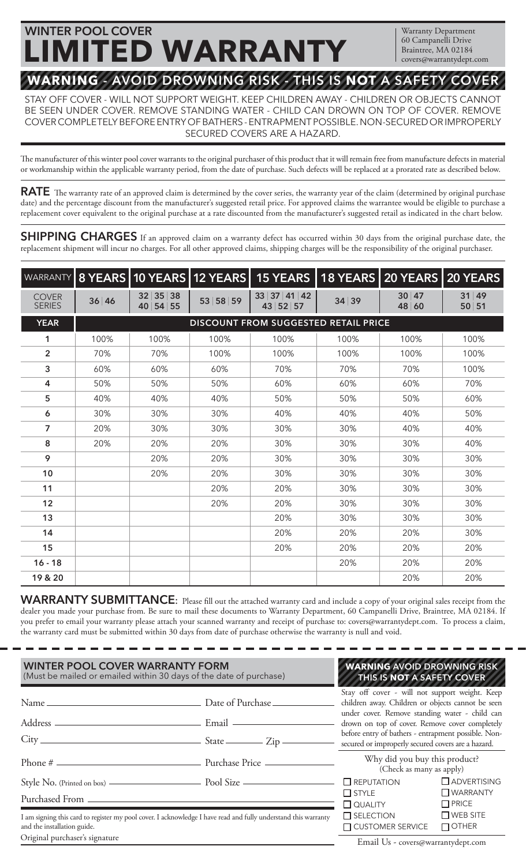# **WARNING - AVOID DROWNING RISK - THIS IS NOT A SAFETY COVER WINTER POOL COVER LIMITED WARRANTY**

Warranty Department 60 Campanelli Drive Braintree, MA 02184 covers@warrantydept.com

STAY OFF COVER - WILL NOT SUPPORT WEIGHT. KEEP CHILDREN AWAY - CHILDREN OR OBJECTS CANNOT BE SEEN UNDER COVER. REMOVE STANDING WATER - CHILD CAN DROWN ON TOP OF COVER. REMOVE COVER COMPLETELY BEFORE ENTRY OF BATHERS - ENTRAPMENT POSSIBLE. NON-SECURED OR IMPROPERLY SECURED COVERS ARE A HAZARD.

The manufacturer of this winter pool cover warrants to the original purchaser of this product that it will remain free from manufacture defects in material or workmanship within the applicable warranty period, from the date of purchase. Such defects will be replaced at a prorated rate as described below.

RATE The warranty rate of an approved claim is determined by the cover series, the warranty year of the claim (determined by original purchase date) and the percentage discount from the manufacturer's suggested retail price. For approved claims the warrantee would be eligible to purchase a replacement cover equivalent to the original purchase at a rate discounted from the manufacturer's suggested retail as indicated in the chart below.

**SHIPPING CHARGES** If an approved claim on a warranty defect has occurred within 30 days from the original purchase date, the replacement shipment will incur no charges. For all other approved claims, shipping charges will be the responsibility of the original purchaser.

| <b>WARRANTY</b>               |       |                                             |          | 8 YEARS 10 YEARS 12 YEARS 15 YEARS 18 YEARS 20 YEARS 20 YEARS |       |                |                |
|-------------------------------|-------|---------------------------------------------|----------|---------------------------------------------------------------|-------|----------------|----------------|
| <b>COVER</b><br><b>SERIES</b> | 36 46 | 35<br> 38<br>32 <br>40 54 55                | 53 58 59 | 33 37 41 42<br>43 52 57                                       | 34 39 | 30 47<br>48 60 | 31 49<br>50 51 |
| <b>YEAR</b>                   |       | <b>DISCOUNT FROM SUGGESTED RETAIL PRICE</b> |          |                                                               |       |                |                |
| 1                             | 100%  | 100%                                        | 100%     | 100%                                                          | 100%  | 100%           | 100%           |
| $\overline{2}$                | 70%   | 70%                                         | 100%     | 100%                                                          | 100%  | 100%           | 100%           |
| 3                             | 60%   | 60%                                         | 60%      | 70%                                                           | 70%   | 70%            | 100%           |
| 4                             | 50%   | 50%                                         | 50%      | 60%                                                           | 60%   | 60%            | 70%            |
| 5                             | 40%   | 40%                                         | 40%      | 50%                                                           | 50%   | 50%            | 60%            |
| 6                             | 30%   | 30%                                         | 30%      | 40%                                                           | 40%   | 40%            | 50%            |
| $\overline{7}$                | 20%   | 30%                                         | 30%      | 30%                                                           | 30%   | 40%            | 40%            |
| 8                             | 20%   | 20%                                         | 20%      | 30%                                                           | 30%   | 30%            | 40%            |
| 9                             |       | 20%                                         | 20%      | 30%                                                           | 30%   | 30%            | 30%            |
| 10                            |       | 20%                                         | 20%      | 30%                                                           | 30%   | 30%            | 30%            |
| 11                            |       |                                             | 20%      | 20%                                                           | 30%   | 30%            | 30%            |
| 12                            |       |                                             | 20%      | 20%                                                           | 30%   | 30%            | 30%            |
| 13                            |       |                                             |          | 20%                                                           | 30%   | 30%            | 30%            |
| 14                            |       |                                             |          | 20%                                                           | 20%   | 20%            | 30%            |
| 15                            |       |                                             |          | 20%                                                           | 20%   | 20%            | 20%            |
| $16 - 18$                     |       |                                             |          |                                                               | 20%   | 20%            | 20%            |
| 19 & 20                       |       |                                             |          |                                                               |       | 20%            | 20%            |

**WARRANTY SUBMITTANCE**: Please fll out the attached warranty card and include a copy of your original sales receipt from the dealer you made your purchase from. Be sure to mail these documents to Warranty Department, 60 Campanelli Drive, Braintree, MA 02184. If you prefer to email your warranty please attach your scanned warranty and receipt of purchase to: covers@warrantydept.com. To process a claim, the warranty card must be submitted within 30 days from date of purchase otherwise the warranty is null and void.

| <b>WINTER POOL COVER WARRANTY FORM</b><br>(Must be mailed or emailed within 30 days of the date of purchase)                                  | <b>WARNING AVOID DROWNING RISK</b><br>THIS IS NOT A SAFETY COVER |                                                                                                                                                                                                                                                                                                                      |                                 |  |
|-----------------------------------------------------------------------------------------------------------------------------------------------|------------------------------------------------------------------|----------------------------------------------------------------------------------------------------------------------------------------------------------------------------------------------------------------------------------------------------------------------------------------------------------------------|---------------------------------|--|
| $City$ $—$ $State$ $—$ $Zip$ $—$                                                                                                              |                                                                  | Stay off cover - will not support weight. Keep<br>children away. Children or objects cannot be seen<br>under cover. Remove standing water - child can<br>drown on top of cover. Remove cover completely<br>before entry of bathers - entrapment possible. Non-<br>secured or improperly secured covers are a hazard. |                                 |  |
|                                                                                                                                               |                                                                  | Why did you buy this product?<br>(Check as many as apply)                                                                                                                                                                                                                                                            |                                 |  |
|                                                                                                                                               |                                                                  | $\square$ REPUTATION                                                                                                                                                                                                                                                                                                 | $\Box$ ADVERTISING              |  |
|                                                                                                                                               |                                                                  | $\Box$ STYLE<br>$\Box$ QUALITY                                                                                                                                                                                                                                                                                       | $\Box$ WARRANTY<br>$\Box$ PRICE |  |
| I am signing this card to register my pool cover. I acknowledge I have read and fully understand this warranty<br>and the installation guide. | $\square$ SELECTION<br>□ CUSTOMER SERVICE                        | $\Box$ WEB SITE<br>$\Box$ OTHER                                                                                                                                                                                                                                                                                      |                                 |  |
| Original purchaser's signature                                                                                                                |                                                                  | $F_{\text{max}}$ $F_{\text{max}}$ $G_{\text{max}}$                                                                                                                                                                                                                                                                   |                                 |  |

Email Us - covers@warrantydept.com